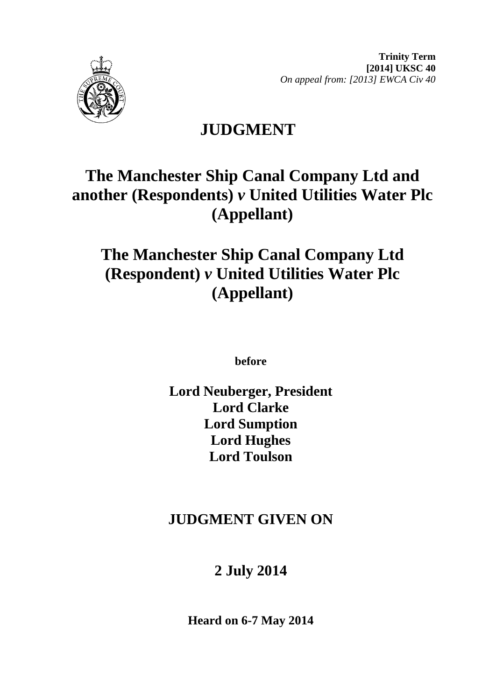



# **JUDGMENT**

# **The Manchester Ship Canal Company Ltd and another (Respondents)** *v* **United Utilities Water Plc (Appellant)**

# **The Manchester Ship Canal Company Ltd (Respondent)** *v* **United Utilities Water Plc (Appellant)**

**before** 

**Lord Neuberger, President Lord Clarke Lord Sumption Lord Hughes Lord Toulson**

# **JUDGMENT GIVEN ON**

# **2 July 2014**

**Heard on 6-7 May 2014**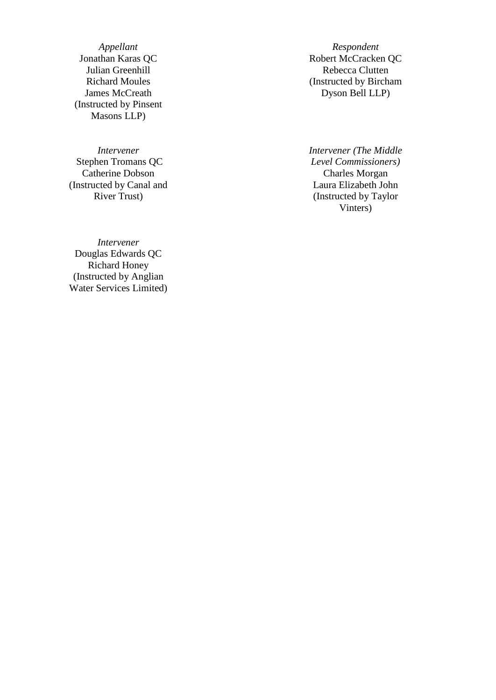*Appellant Respondent*<br>Jonathan Karas QC *Respondent* Robert McCracke Julian Greenhill Richard Moules James McCreath (Instructed by Pinsent Masons LLP )

*Intervener* Stephen Tromans QC Catherine Dobson Charles Morgan (Instructed by Canal and River Trust)

*Intervener* Douglas Edwards QC Richard Honey (Instructed by Anglian Water Services Limited )

Robert McCracken QC Rebecca Clutten (Instructed by Bircham Dyson Bell LLP)

*Intervener (The Middle Level Commissioners)* Laura Elizabeth John (Instructed by Taylor Vinters)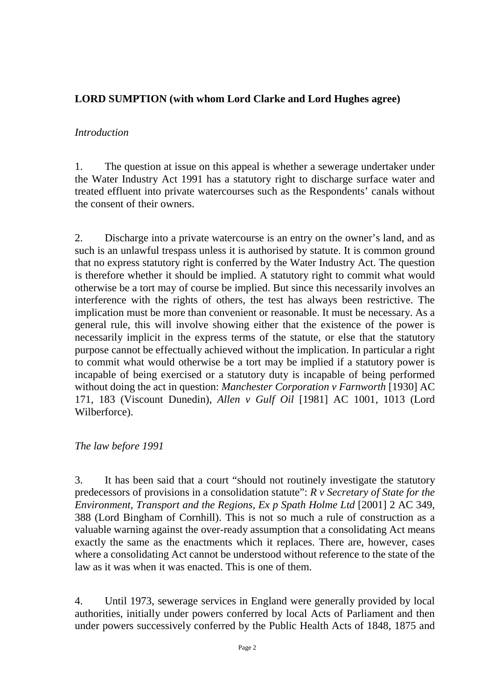# **LORD SUMPTION (with whom Lord Clarke and Lord Hughes agree)**

### *Introduction*

1. The question at issue on this appeal is whether a sewerage undertaker under the Water Industry Act 1991 has a statutory right to discharge surface water and treated effluent into private watercourses such as the Respondents' canals without the consent of their owners.

2. Discharge into a private watercourse is an entry on the owner's land, and as such is an unlawful trespass unless it is authorised by statute. It is common ground that no express statutory right is conferred by the Water Industry Act. The question is therefore whether it should be implied. A statutory right to commit what would otherwise be a tort may of course be implied. But since this necessarily involves an interference with the rights of others, the test has always been restrictive. The implication must be more than convenient or reasonable. It must be necessary. As a general rule, this will involve showing either that the existence of the power is necessarily implicit in the express terms of the statute, or else that the statutory purpose cannot be effectually achieved without the implication. In particular a right to commit what would otherwise be a tort may be implied if a statutory power is incapable of being exercised or a statutory duty is incapable of being performed without doing the act in question: *Manchester Corporation v Farnworth* [1930] AC 171, 183 (Viscount Dunedin), *Allen v Gulf Oil* [1981] AC 1001, 1013 (Lord Wilberforce).

#### *The law before 1991*

3. It has been said that a court "should not routinely investigate the statutory predecessors of provisions in a consolidation statute": *R v Secretary of State for the Environment, Transport and the Regions, Ex p Spath Holme Ltd* [2001] 2 AC 349, 388 (Lord Bingham of Cornhill). This is not so much a rule of construction as a valuable warning against the over-ready assumption that a consolidating Act means exactly the same as the enactments which it replaces. There are, however, cases where a consolidating Act cannot be understood without reference to the state of the law as it was when it was enacted. This is one of them.

4. Until 1973, sewerage services in England were generally provided by local authorities, initially under powers conferred by local Acts of Parliament and then under powers successively conferred by the Public Health Acts of 1848, 1875 and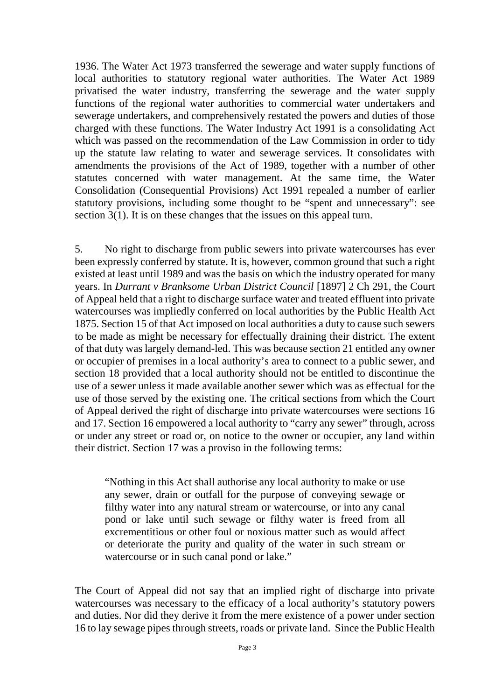1936. The Water Act 1973 transferred the sewerage and water supply functions of local authorities to statutory regional water authorities. The Water Act 1989 privatised the water industry, transferring the sewerage and the water supply functions of the regional water authorities to commercial water undertakers and sewerage undertakers, and comprehensively restated the powers and duties of those charged with these functions. The Water Industry Act 1991 is a consolidating Act which was passed on the recommendation of the Law Commission in order to tidy up the statute law relating to water and sewerage services. It consolidates with amendments the provisions of the Act of 1989, together with a number of other statutes concerned with water management. At the same time, the Water Consolidation (Consequential Provisions) Act 1991 repealed a number of earlier statutory provisions, including some thought to be "spent and unnecessary": see section 3(1). It is on these changes that the issues on this appeal turn.

5. No right to discharge from public sewers into private watercourses has ever been expressly conferred by statute. It is, however, common ground that such a right existed at least until 1989 and was the basis on which the industry operated for many years. In *Durrant v Branksome Urban District Council* [1897] 2 Ch 291, the Court of Appeal held that a right to discharge surface water and treated effluent into private watercourses was impliedly conferred on local authorities by the Public Health Act 1875. Section 15 of that Act imposed on local authorities a duty to cause such sewers to be made as might be necessary for effectually draining their district. The extent of that duty was largely demand-led. This was because section 21 entitled any owner or occupier of premises in a local authority's area to connect to a public sewer, and section 18 provided that a local authority should not be entitled to discontinue the use of a sewer unless it made available another sewer which was as effectual for the use of those served by the existing one. The critical sections from which the Court of Appeal derived the right of discharge into private watercourses were sections 16 and 17. Section 16 empowered a local authority to "carry any sewer" through, across or under any street or road or, on notice to the owner or occupier, any land within their district. Section 17 was a proviso in the following terms:

"Nothing in this Act shall authorise any local authority to make or use any sewer, drain or outfall for the purpose of conveying sewage or filthy water into any natural stream or watercourse, or into any canal pond or lake until such sewage or filthy water is freed from all excrementitious or other foul or noxious matter such as would affect or deteriorate the purity and quality of the water in such stream or watercourse or in such canal pond or lake."

The Court of Appeal did not say that an implied right of discharge into private watercourses was necessary to the efficacy of a local authority's statutory powers and duties. Nor did they derive it from the mere existence of a power under section 16 to lay sewage pipes through streets, roads or private land. Since the Public Health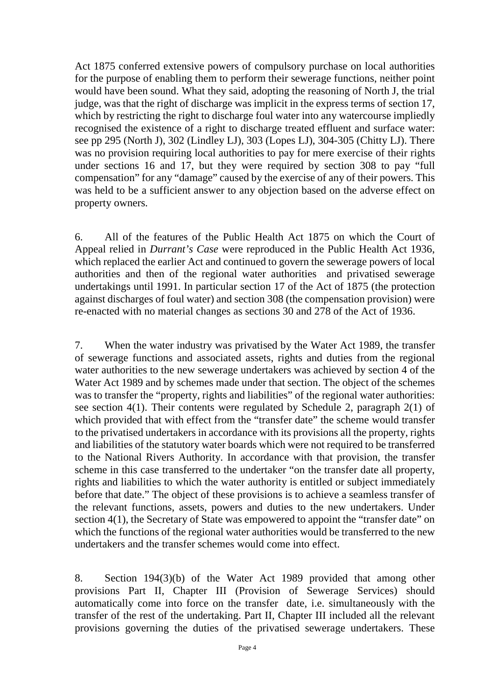Act 1875 conferred extensive powers of compulsory purchase on local authorities for the purpose of enabling them to perform their sewerage functions, neither point would have been sound. What they said, adopting the reasoning of North J, the trial judge, was that the right of discharge was implicit in the express terms of section 17, which by restricting the right to discharge foul water into any watercourse impliedly recognised the existence of a right to discharge treated effluent and surface water: see pp 295 (North J), 302 (Lindley LJ), 303 (Lopes LJ), 304-305 (Chitty LJ). There was no provision requiring local authorities to pay for mere exercise of their rights under sections 16 and 17, but they were required by section 308 to pay "full compensation" for any "damage" caused by the exercise of any of their powers. This was held to be a sufficient answer to any objection based on the adverse effect on property owners.

6. All of the features of the Public Health Act 1875 on which the Court of Appeal relied in *Durrant's Case* were reproduced in the Public Health Act 1936, which replaced the earlier Act and continued to govern the sewerage powers of local authorities and then of the regional water authorities and privatised sewerage undertakings until 1991. In particular section 17 of the Act of 1875 (the protection against discharges of foul water) and section 308 (the compensation provision) were re-enacted with no material changes as sections 30 and 278 of the Act of 1936.

7. When the water industry was privatised by the Water Act 1989, the transfer of sewerage functions and associated assets, rights and duties from the regional water authorities to the new sewerage undertakers was achieved by section 4 of the Water Act 1989 and by schemes made under that section. The object of the schemes was to transfer the "property, rights and liabilities" of the regional water authorities: see section 4(1). Their contents were regulated by Schedule 2, paragraph 2(1) of which provided that with effect from the "transfer date" the scheme would transfer to the privatised undertakers in accordance with its provisions all the property, rights and liabilities of the statutory water boards which were not required to be transferred to the National Rivers Authority. In accordance with that provision, the transfer scheme in this case transferred to the undertaker "on the transfer date all property, rights and liabilities to which the water authority is entitled or subject immediately before that date." The object of these provisions is to achieve a seamless transfer of the relevant functions, assets, powers and duties to the new undertakers. Under section 4(1), the Secretary of State was empowered to appoint the "transfer date" on which the functions of the regional water authorities would be transferred to the new undertakers and the transfer schemes would come into effect.

8. Section 194(3)(b) of the Water Act 1989 provided that among other provisions Part II, Chapter III (Provision of Sewerage Services) should automatically come into force on the transfer date, i.e. simultaneously with the transfer of the rest of the undertaking. Part II, Chapter III included all the relevant provisions governing the duties of the privatised sewerage undertakers. These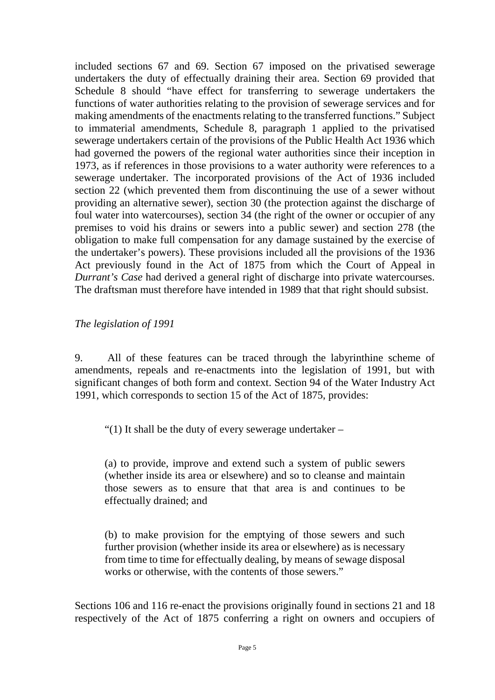included sections 67 and 69. Section 67 imposed on the privatised sewerage undertakers the duty of effectually draining their area. Section 69 provided that Schedule 8 should "have effect for transferring to sewerage undertakers the functions of water authorities relating to the provision of sewerage services and for making amendments of the enactments relating to the transferred functions." Subject to immaterial amendments, Schedule 8, paragraph 1 applied to the privatised sewerage undertakers certain of the provisions of the Public Health Act 1936 which had governed the powers of the regional water authorities since their inception in 1973, as if references in those provisions to a water authority were references to a sewerage undertaker. The incorporated provisions of the Act of 1936 included section 22 (which prevented them from discontinuing the use of a sewer without providing an alternative sewer), section 30 (the protection against the discharge of foul water into watercourses), section 34 (the right of the owner or occupier of any premises to void his drains or sewers into a public sewer) and section 278 (the obligation to make full compensation for any damage sustained by the exercise of the undertaker's powers). These provisions included all the provisions of the 1936 Act previously found in the Act of 1875 from which the Court of Appeal in *Durrant's Case* had derived a general right of discharge into private watercourses. The draftsman must therefore have intended in 1989 that that right should subsist.

*The legislation of 1991*

9. All of these features can be traced through the labyrinthine scheme of amendments, repeals and re-enactments into the legislation of 1991, but with significant changes of both form and context. Section 94 of the Water Industry Act 1991, which corresponds to section 15 of the Act of 1875, provides:

"(1) It shall be the duty of every sewerage undertaker –

(a) to provide, improve and extend such a system of public sewers (whether inside its area or elsewhere) and so to cleanse and maintain those sewers as to ensure that that area is and continues to be effectually drained; and

(b) to make provision for the emptying of those sewers and such further provision (whether inside its area or elsewhere) as is necessary from time to time for effectually dealing, by means of sewage disposal works or otherwise, with the contents of those sewers."

Sections 106 and 116 re-enact the provisions originally found in sections 21 and 18 respectively of the Act of 1875 conferring a right on owners and occupiers of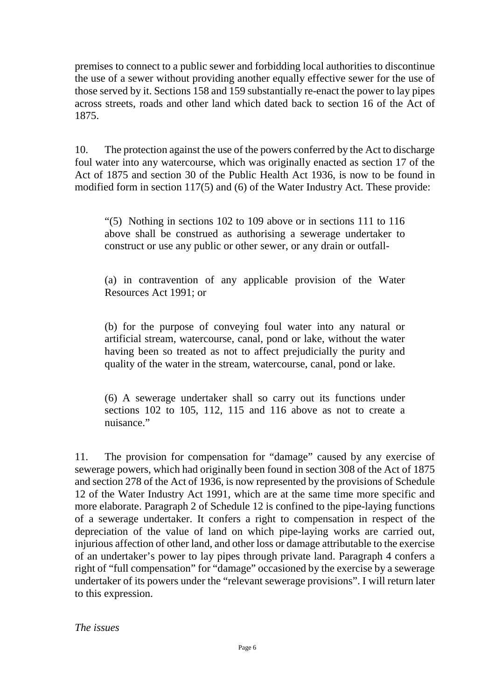premises to connect to a public sewer and forbidding local authorities to discontinue the use of a sewer without providing another equally effective sewer for the use of those served by it. Sections 158 and 159 substantially re-enact the power to lay pipes across streets, roads and other land which dated back to section 16 of the Act of 1875.

10. The protection against the use of the powers conferred by the Act to discharge foul water into any watercourse, which was originally enacted as section 17 of the Act of 1875 and section 30 of the Public Health Act 1936, is now to be found in modified form in section 117(5) and (6) of the Water Industry Act. These provide:

"(5) Nothing in sections 102 to 109 above or in sections 111 to 116 above shall be construed as authorising a sewerage undertaker to construct or use any public or other sewer, or any drain or outfall-

(a) in contravention of any applicable provision of the Water Resources Act 1991; or

(b) for the purpose of conveying foul water into any natural or artificial stream, watercourse, canal, pond or lake, without the water having been so treated as not to affect prejudicially the purity and quality of the water in the stream, watercourse, canal, pond or lake.

(6) A sewerage undertaker shall so carry out its functions under sections 102 to 105, 112, 115 and 116 above as not to create a nuisance."

11. The provision for compensation for "damage" caused by any exercise of sewerage powers, which had originally been found in section 308 of the Act of 1875 and section 278 of the Act of 1936, is now represented by the provisions of Schedule 12 of the Water Industry Act 1991, which are at the same time more specific and more elaborate. Paragraph 2 of Schedule 12 is confined to the pipe-laying functions of a sewerage undertaker. It confers a right to compensation in respect of the depreciation of the value of land on which pipe-laying works are carried out, injurious affection of other land, and other loss or damage attributable to the exercise of an undertaker's power to lay pipes through private land. Paragraph 4 confers a right of "full compensation" for "damage" occasioned by the exercise by a sewerage undertaker of its powers under the "relevant sewerage provisions". I will return later to this expression.

*The issues*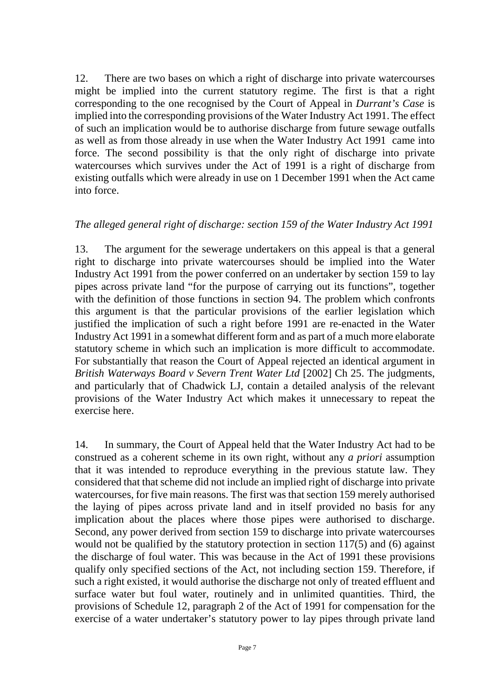12. There are two bases on which a right of discharge into private watercourses might be implied into the current statutory regime. The first is that a right corresponding to the one recognised by the Court of Appeal in *Durrant's Case* is implied into the corresponding provisions of the Water Industry Act 1991. The effect of such an implication would be to authorise discharge from future sewage outfalls as well as from those already in use when the Water Industry Act 1991 came into force. The second possibility is that the only right of discharge into private watercourses which survives under the Act of 1991 is a right of discharge from existing outfalls which were already in use on 1 December 1991 when the Act came into force.

#### *The alleged general right of discharge: section 159 of the Water Industry Act 1991*

13. The argument for the sewerage undertakers on this appeal is that a general right to discharge into private watercourses should be implied into the Water Industry Act 1991 from the power conferred on an undertaker by section 159 to lay pipes across private land "for the purpose of carrying out its functions", together with the definition of those functions in section 94. The problem which confronts this argument is that the particular provisions of the earlier legislation which justified the implication of such a right before 1991 are re-enacted in the Water Industry Act 1991 in a somewhat different form and as part of a much more elaborate statutory scheme in which such an implication is more difficult to accommodate. For substantially that reason the Court of Appeal rejected an identical argument in *British Waterways Board v Severn Trent Water Ltd* [2002] Ch 25. The judgments, and particularly that of Chadwick LJ, contain a detailed analysis of the relevant provisions of the Water Industry Act which makes it unnecessary to repeat the exercise here.

14. In summary, the Court of Appeal held that the Water Industry Act had to be construed as a coherent scheme in its own right, without any *a priori* assumption that it was intended to reproduce everything in the previous statute law. They considered that that scheme did not include an implied right of discharge into private watercourses, for five main reasons. The first was that section 159 merely authorised the laying of pipes across private land and in itself provided no basis for any implication about the places where those pipes were authorised to discharge. Second, any power derived from section 159 to discharge into private watercourses would not be qualified by the statutory protection in section 117(5) and (6) against the discharge of foul water. This was because in the Act of 1991 these provisions qualify only specified sections of the Act, not including section 159. Therefore, if such a right existed, it would authorise the discharge not only of treated effluent and surface water but foul water, routinely and in unlimited quantities. Third, the provisions of Schedule 12, paragraph 2 of the Act of 1991 for compensation for the exercise of a water undertaker's statutory power to lay pipes through private land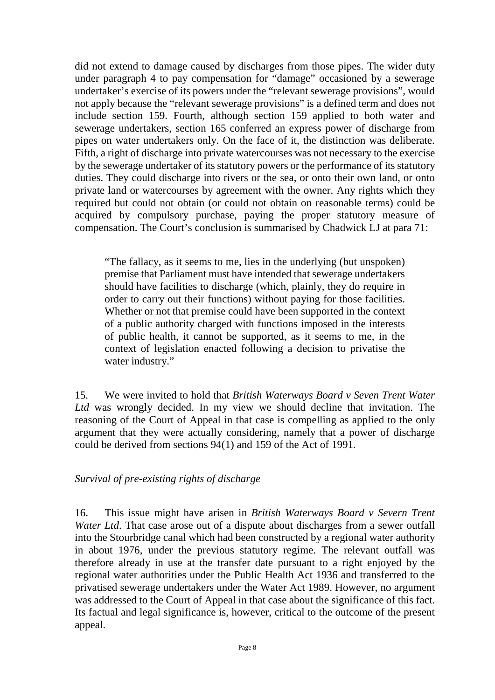did not extend to damage caused by discharges from those pipes. The wider duty under paragraph 4 to pay compensation for "damage" occasioned by a sewerage undertaker's exercise of its powers under the "relevant sewerage provisions", would not apply because the "relevant sewerage provisions" is a defined term and does not include section 159. Fourth, although section 159 applied to both water and sewerage undertakers, section 165 conferred an express power of discharge from pipes on water undertakers only. On the face of it, the distinction was deliberate. Fifth, a right of discharge into private watercourses was not necessary to the exercise by the sewerage undertaker of its statutory powers or the performance of its statutory duties. They could discharge into rivers or the sea, or onto their own land, or onto private land or watercourses by agreement with the owner. Any rights which they required but could not obtain (or could not obtain on reasonable terms) could be acquired by compulsory purchase, paying the proper statutory measure of compensation. The Court's conclusion is summarised by Chadwick LJ at para 71:

"The fallacy, as it seems to me, lies in the underlying (but unspoken) premise that Parliament must have intended that sewerage undertakers should have facilities to discharge (which, plainly, they do require in order to carry out their functions) without paying for those facilities. Whether or not that premise could have been supported in the context of a public authority charged with functions imposed in the interests of public health, it cannot be supported, as it seems to me, in the context of legislation enacted following a decision to privatise the water industry."

15. We were invited to hold that *British Waterways Board v Seven Trent Water Ltd* was wrongly decided. In my view we should decline that invitation. The reasoning of the Court of Appeal in that case is compelling as applied to the only argument that they were actually considering, namely that a power of discharge could be derived from sections 94(1) and 159 of the Act of 1991.

# *Survival of pre-existing rights of discharge*

16. This issue might have arisen in *British Waterways Board v Severn Trent Water Ltd*. That case arose out of a dispute about discharges from a sewer outfall into the Stourbridge canal which had been constructed by a regional water authority in about 1976, under the previous statutory regime. The relevant outfall was therefore already in use at the transfer date pursuant to a right enjoyed by the regional water authorities under the Public Health Act 1936 and transferred to the privatised sewerage undertakers under the Water Act 1989. However, no argument was addressed to the Court of Appeal in that case about the significance of this fact. Its factual and legal significance is, however, critical to the outcome of the present appeal.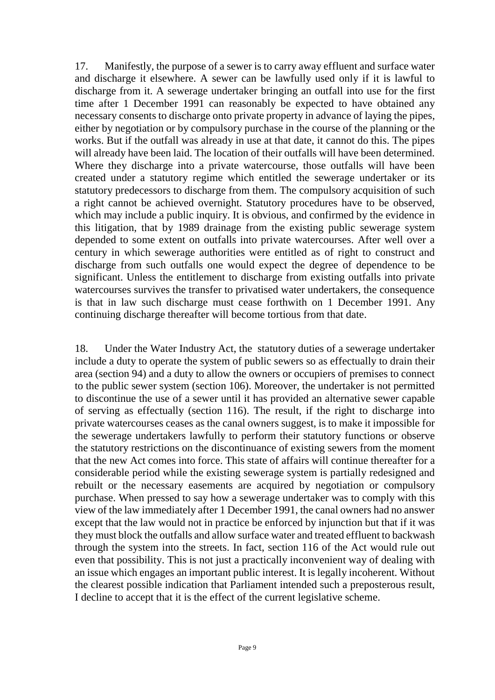17. Manifestly, the purpose of a sewer is to carry away effluent and surface water and discharge it elsewhere. A sewer can be lawfully used only if it is lawful to discharge from it. A sewerage undertaker bringing an outfall into use for the first time after 1 December 1991 can reasonably be expected to have obtained any necessary consents to discharge onto private property in advance of laying the pipes, either by negotiation or by compulsory purchase in the course of the planning or the works. But if the outfall was already in use at that date, it cannot do this. The pipes will already have been laid. The location of their outfalls will have been determined. Where they discharge into a private watercourse, those outfalls will have been created under a statutory regime which entitled the sewerage undertaker or its statutory predecessors to discharge from them. The compulsory acquisition of such a right cannot be achieved overnight. Statutory procedures have to be observed, which may include a public inquiry. It is obvious, and confirmed by the evidence in this litigation, that by 1989 drainage from the existing public sewerage system depended to some extent on outfalls into private watercourses. After well over a century in which sewerage authorities were entitled as of right to construct and discharge from such outfalls one would expect the degree of dependence to be significant. Unless the entitlement to discharge from existing outfalls into private watercourses survives the transfer to privatised water undertakers, the consequence is that in law such discharge must cease forthwith on 1 December 1991. Any continuing discharge thereafter will become tortious from that date.

18. Under the Water Industry Act, the statutory duties of a sewerage undertaker include a duty to operate the system of public sewers so as effectually to drain their area (section 94) and a duty to allow the owners or occupiers of premises to connect to the public sewer system (section 106). Moreover, the undertaker is not permitted to discontinue the use of a sewer until it has provided an alternative sewer capable of serving as effectually (section 116). The result, if the right to discharge into private watercourses ceases as the canal owners suggest, is to make it impossible for the sewerage undertakers lawfully to perform their statutory functions or observe the statutory restrictions on the discontinuance of existing sewers from the moment that the new Act comes into force. This state of affairs will continue thereafter for a considerable period while the existing sewerage system is partially redesigned and rebuilt or the necessary easements are acquired by negotiation or compulsory purchase. When pressed to say how a sewerage undertaker was to comply with this view of the law immediately after 1 December 1991, the canal owners had no answer except that the law would not in practice be enforced by injunction but that if it was they must block the outfalls and allow surface water and treated effluent to backwash through the system into the streets. In fact, section 116 of the Act would rule out even that possibility. This is not just a practically inconvenient way of dealing with an issue which engages an important public interest. It is legally incoherent. Without the clearest possible indication that Parliament intended such a preposterous result, I decline to accept that it is the effect of the current legislative scheme.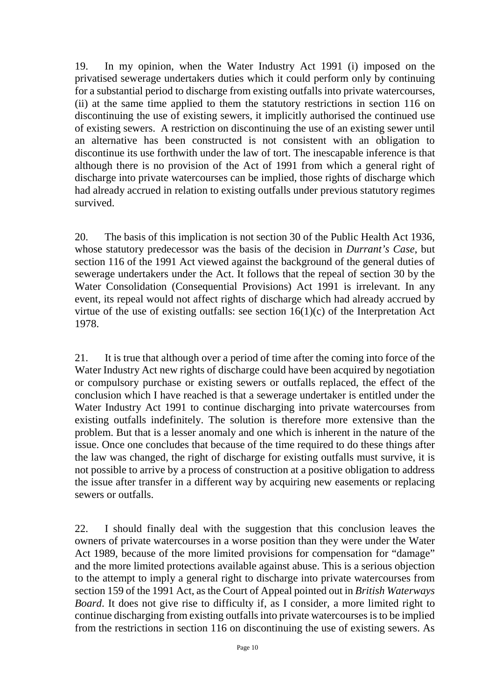19. In my opinion, when the Water Industry Act 1991 (i) imposed on the privatised sewerage undertakers duties which it could perform only by continuing for a substantial period to discharge from existing outfalls into private watercourses, (ii) at the same time applied to them the statutory restrictions in section 116 on discontinuing the use of existing sewers, it implicitly authorised the continued use of existing sewers. A restriction on discontinuing the use of an existing sewer until an alternative has been constructed is not consistent with an obligation to discontinue its use forthwith under the law of tort. The inescapable inference is that although there is no provision of the Act of 1991 from which a general right of discharge into private watercourses can be implied, those rights of discharge which had already accrued in relation to existing outfalls under previous statutory regimes survived.

20. The basis of this implication is not section 30 of the Public Health Act 1936, whose statutory predecessor was the basis of the decision in *Durrant's Case*, but section 116 of the 1991 Act viewed against the background of the general duties of sewerage undertakers under the Act. It follows that the repeal of section 30 by the Water Consolidation (Consequential Provisions) Act 1991 is irrelevant. In any event, its repeal would not affect rights of discharge which had already accrued by virtue of the use of existing outfalls: see section  $16(1)(c)$  of the Interpretation Act 1978.

21. It is true that although over a period of time after the coming into force of the Water Industry Act new rights of discharge could have been acquired by negotiation or compulsory purchase or existing sewers or outfalls replaced, the effect of the conclusion which I have reached is that a sewerage undertaker is entitled under the Water Industry Act 1991 to continue discharging into private watercourses from existing outfalls indefinitely. The solution is therefore more extensive than the problem. But that is a lesser anomaly and one which is inherent in the nature of the issue. Once one concludes that because of the time required to do these things after the law was changed, the right of discharge for existing outfalls must survive, it is not possible to arrive by a process of construction at a positive obligation to address the issue after transfer in a different way by acquiring new easements or replacing sewers or outfalls.

22. I should finally deal with the suggestion that this conclusion leaves the owners of private watercourses in a worse position than they were under the Water Act 1989, because of the more limited provisions for compensation for "damage" and the more limited protections available against abuse. This is a serious objection to the attempt to imply a general right to discharge into private watercourses from section 159 of the 1991 Act, as the Court of Appeal pointed out in *British Waterways Board*. It does not give rise to difficulty if, as I consider, a more limited right to continue discharging from existing outfalls into private watercourses is to be implied from the restrictions in section 116 on discontinuing the use of existing sewers. As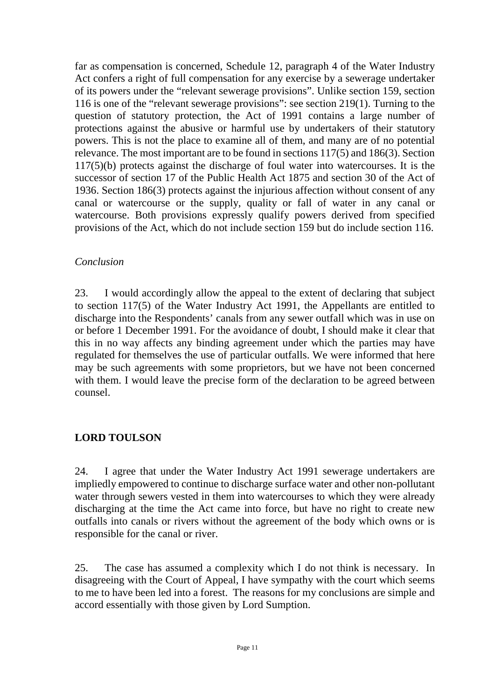far as compensation is concerned, Schedule 12, paragraph 4 of the Water Industry Act confers a right of full compensation for any exercise by a sewerage undertaker of its powers under the "relevant sewerage provisions". Unlike section 159, section 116 is one of the "relevant sewerage provisions": see section 219(1). Turning to the question of statutory protection, the Act of 1991 contains a large number of protections against the abusive or harmful use by undertakers of their statutory powers. This is not the place to examine all of them, and many are of no potential relevance. The most important are to be found in sections 117(5) and 186(3). Section 117(5)(b) protects against the discharge of foul water into watercourses. It is the successor of section 17 of the Public Health Act 1875 and section 30 of the Act of 1936. Section 186(3) protects against the injurious affection without consent of any canal or watercourse or the supply, quality or fall of water in any canal or watercourse. Both provisions expressly qualify powers derived from specified provisions of the Act, which do not include section 159 but do include section 116.

# *Conclusion*

23. I would accordingly allow the appeal to the extent of declaring that subject to section 117(5) of the Water Industry Act 1991, the Appellants are entitled to discharge into the Respondents' canals from any sewer outfall which was in use on or before 1 December 1991. For the avoidance of doubt, I should make it clear that this in no way affects any binding agreement under which the parties may have regulated for themselves the use of particular outfalls. We were informed that here may be such agreements with some proprietors, but we have not been concerned with them. I would leave the precise form of the declaration to be agreed between counsel.

# **LORD TOULSON**

24. I agree that under the Water Industry Act 1991 sewerage undertakers are impliedly empowered to continue to discharge surface water and other non-pollutant water through sewers vested in them into watercourses to which they were already discharging at the time the Act came into force, but have no right to create new outfalls into canals or rivers without the agreement of the body which owns or is responsible for the canal or river.

25. The case has assumed a complexity which I do not think is necessary. In disagreeing with the Court of Appeal, I have sympathy with the court which seems to me to have been led into a forest. The reasons for my conclusions are simple and accord essentially with those given by Lord Sumption.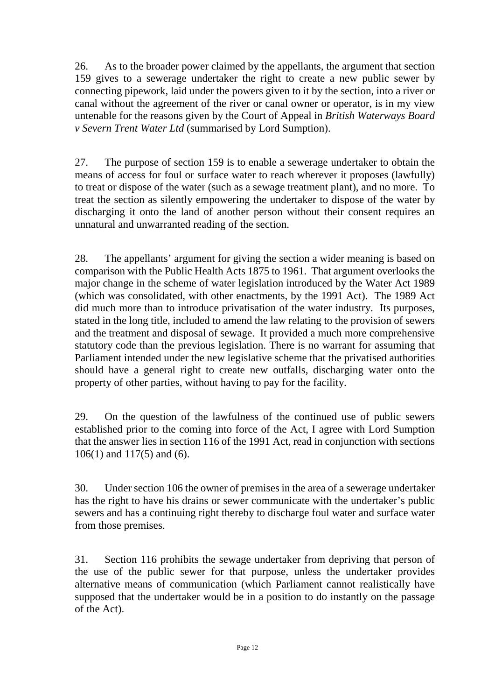26. As to the broader power claimed by the appellants, the argument that section 159 gives to a sewerage undertaker the right to create a new public sewer by connecting pipework, laid under the powers given to it by the section, into a river or canal without the agreement of the river or canal owner or operator, is in my view untenable for the reasons given by the Court of Appeal in *British Waterways Board v Severn Trent Water Ltd* (summarised by Lord Sumption).

27. The purpose of section 159 is to enable a sewerage undertaker to obtain the means of access for foul or surface water to reach wherever it proposes (lawfully) to treat or dispose of the water (such as a sewage treatment plant), and no more. To treat the section as silently empowering the undertaker to dispose of the water by discharging it onto the land of another person without their consent requires an unnatural and unwarranted reading of the section.

28. The appellants' argument for giving the section a wider meaning is based on comparison with the Public Health Acts 1875 to 1961. That argument overlooks the major change in the scheme of water legislation introduced by the Water Act 1989 (which was consolidated, with other enactments, by the 1991 Act). The 1989 Act did much more than to introduce privatisation of the water industry. Its purposes, stated in the long title, included to amend the law relating to the provision of sewers and the treatment and disposal of sewage. It provided a much more comprehensive statutory code than the previous legislation. There is no warrant for assuming that Parliament intended under the new legislative scheme that the privatised authorities should have a general right to create new outfalls, discharging water onto the property of other parties, without having to pay for the facility.

29. On the question of the lawfulness of the continued use of public sewers established prior to the coming into force of the Act, I agree with Lord Sumption that the answer lies in section 116 of the 1991 Act, read in conjunction with sections 106(1) and 117(5) and (6).

30. Under section 106 the owner of premises in the area of a sewerage undertaker has the right to have his drains or sewer communicate with the undertaker's public sewers and has a continuing right thereby to discharge foul water and surface water from those premises.

31. Section 116 prohibits the sewage undertaker from depriving that person of the use of the public sewer for that purpose, unless the undertaker provides alternative means of communication (which Parliament cannot realistically have supposed that the undertaker would be in a position to do instantly on the passage of the Act).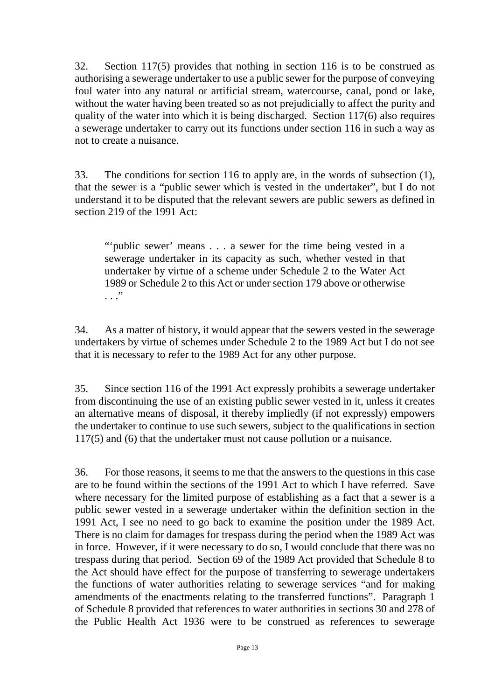32. Section 117(5) provides that nothing in section 116 is to be construed as authorising a sewerage undertaker to use a public sewer for the purpose of conveying foul water into any natural or artificial stream, watercourse, canal, pond or lake, without the water having been treated so as not prejudicially to affect the purity and quality of the water into which it is being discharged. Section 117(6) also requires a sewerage undertaker to carry out its functions under section 116 in such a way as not to create a nuisance.

33. The conditions for section 116 to apply are, in the words of subsection (1), that the sewer is a "public sewer which is vested in the undertaker", but I do not understand it to be disputed that the relevant sewers are public sewers as defined in section 219 of the 1991 Act:

"'public sewer' means . . . a sewer for the time being vested in a sewerage undertaker in its capacity as such, whether vested in that undertaker by virtue of a scheme under Schedule 2 to the Water Act 1989 or Schedule 2 to this Act or under section 179 above or otherwise . . ."

34. As a matter of history, it would appear that the sewers vested in the sewerage undertakers by virtue of schemes under Schedule 2 to the 1989 Act but I do not see that it is necessary to refer to the 1989 Act for any other purpose.

35. Since section 116 of the 1991 Act expressly prohibits a sewerage undertaker from discontinuing the use of an existing public sewer vested in it, unless it creates an alternative means of disposal, it thereby impliedly (if not expressly) empowers the undertaker to continue to use such sewers, subject to the qualifications in section 117(5) and (6) that the undertaker must not cause pollution or a nuisance.

36. For those reasons, it seems to me that the answers to the questions in this case are to be found within the sections of the 1991 Act to which I have referred. Save where necessary for the limited purpose of establishing as a fact that a sewer is a public sewer vested in a sewerage undertaker within the definition section in the 1991 Act, I see no need to go back to examine the position under the 1989 Act. There is no claim for damages for trespass during the period when the 1989 Act was in force. However, if it were necessary to do so, I would conclude that there was no trespass during that period. Section 69 of the 1989 Act provided that Schedule 8 to the Act should have effect for the purpose of transferring to sewerage undertakers the functions of water authorities relating to sewerage services "and for making amendments of the enactments relating to the transferred functions". Paragraph 1 of Schedule 8 provided that references to water authorities in sections 30 and 278 of the Public Health Act 1936 were to be construed as references to sewerage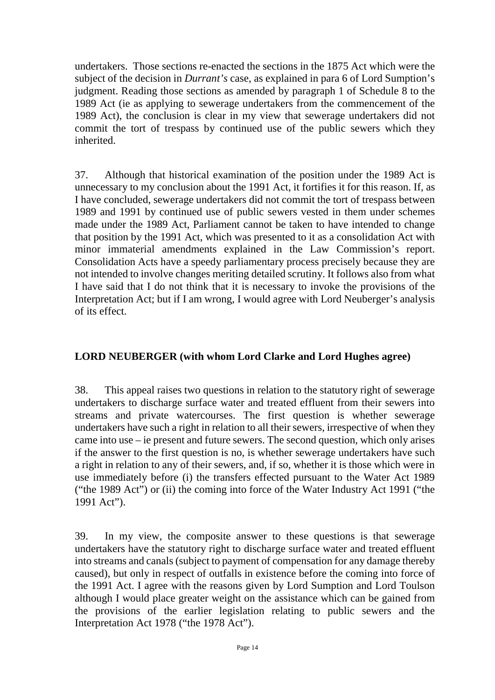undertakers. Those sections re-enacted the sections in the 1875 Act which were the subject of the decision in *Durrant's* case, as explained in para 6 of Lord Sumption's judgment. Reading those sections as amended by paragraph 1 of Schedule 8 to the 1989 Act (ie as applying to sewerage undertakers from the commencement of the 1989 Act), the conclusion is clear in my view that sewerage undertakers did not commit the tort of trespass by continued use of the public sewers which they inherited.

37. Although that historical examination of the position under the 1989 Act is unnecessary to my conclusion about the 1991 Act, it fortifies it for this reason. If, as I have concluded, sewerage undertakers did not commit the tort of trespass between 1989 and 1991 by continued use of public sewers vested in them under schemes made under the 1989 Act, Parliament cannot be taken to have intended to change that position by the 1991 Act, which was presented to it as a consolidation Act with minor immaterial amendments explained in the Law Commission's report. Consolidation Acts have a speedy parliamentary process precisely because they are not intended to involve changes meriting detailed scrutiny. It follows also from what I have said that I do not think that it is necessary to invoke the provisions of the Interpretation Act; but if I am wrong, I would agree with Lord Neuberger's analysis of its effect.

# **LORD NEUBERGER (with whom Lord Clarke and Lord Hughes agree)**

38. This appeal raises two questions in relation to the statutory right of sewerage undertakers to discharge surface water and treated effluent from their sewers into streams and private watercourses. The first question is whether sewerage undertakers have such a right in relation to all their sewers, irrespective of when they came into use – ie present and future sewers. The second question, which only arises if the answer to the first question is no, is whether sewerage undertakers have such a right in relation to any of their sewers, and, if so, whether it is those which were in use immediately before (i) the transfers effected pursuant to the Water Act 1989 ("the 1989 Act") or (ii) the coming into force of the Water Industry Act 1991 ("the 1991 Act").

39. In my view, the composite answer to these questions is that sewerage undertakers have the statutory right to discharge surface water and treated effluent into streams and canals (subject to payment of compensation for any damage thereby caused), but only in respect of outfalls in existence before the coming into force of the 1991 Act. I agree with the reasons given by Lord Sumption and Lord Toulson although I would place greater weight on the assistance which can be gained from the provisions of the earlier legislation relating to public sewers and the Interpretation Act 1978 ("the 1978 Act").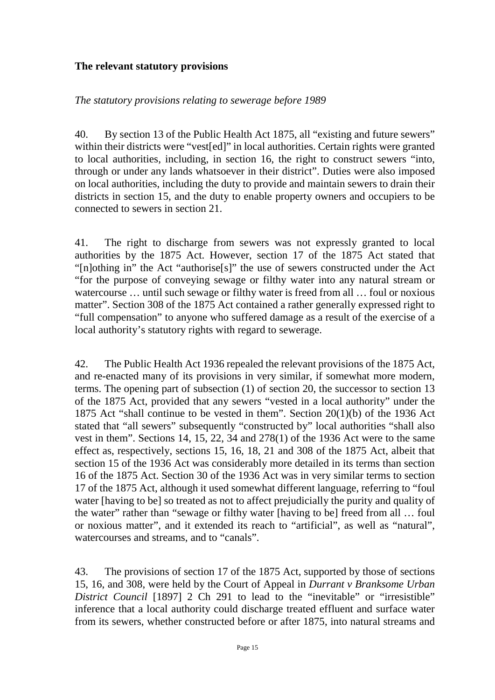# **The relevant statutory provisions**

### *The statutory provisions relating to sewerage before 1989*

40. By section 13 of the Public Health Act 1875, all "existing and future sewers" within their districts were "vest[ed]" in local authorities. Certain rights were granted to local authorities, including, in section 16, the right to construct sewers "into, through or under any lands whatsoever in their district". Duties were also imposed on local authorities, including the duty to provide and maintain sewers to drain their districts in section 15, and the duty to enable property owners and occupiers to be connected to sewers in section 21.

41. The right to discharge from sewers was not expressly granted to local authorities by the 1875 Act. However, section 17 of the 1875 Act stated that "[n]othing in" the Act "authorise[s]" the use of sewers constructed under the Act "for the purpose of conveying sewage or filthy water into any natural stream or watercourse … until such sewage or filthy water is freed from all … foul or noxious matter". Section 308 of the 1875 Act contained a rather generally expressed right to "full compensation" to anyone who suffered damage as a result of the exercise of a local authority's statutory rights with regard to sewerage.

42. The Public Health Act 1936 repealed the relevant provisions of the 1875 Act, and re-enacted many of its provisions in very similar, if somewhat more modern, terms. The opening part of subsection (1) of section 20, the successor to section 13 of the 1875 Act, provided that any sewers "vested in a local authority" under the 1875 Act "shall continue to be vested in them". Section 20(1)(b) of the 1936 Act stated that "all sewers" subsequently "constructed by" local authorities "shall also vest in them". Sections 14, 15, 22, 34 and 278(1) of the 1936 Act were to the same effect as, respectively, sections 15, 16, 18, 21 and 308 of the 1875 Act, albeit that section 15 of the 1936 Act was considerably more detailed in its terms than section 16 of the 1875 Act. Section 30 of the 1936 Act was in very similar terms to section 17 of the 1875 Act, although it used somewhat different language, referring to "foul water [having to be] so treated as not to affect prejudicially the purity and quality of the water" rather than "sewage or filthy water [having to be] freed from all … foul or noxious matter", and it extended its reach to "artificial", as well as "natural", watercourses and streams, and to "canals".

43. The provisions of section 17 of the 1875 Act, supported by those of sections 15, 16, and 308, were held by the Court of Appeal in *Durrant v Branksome Urban District Council* [1897] 2 Ch 291 to lead to the "inevitable" or "irresistible" inference that a local authority could discharge treated effluent and surface water from its sewers, whether constructed before or after 1875, into natural streams and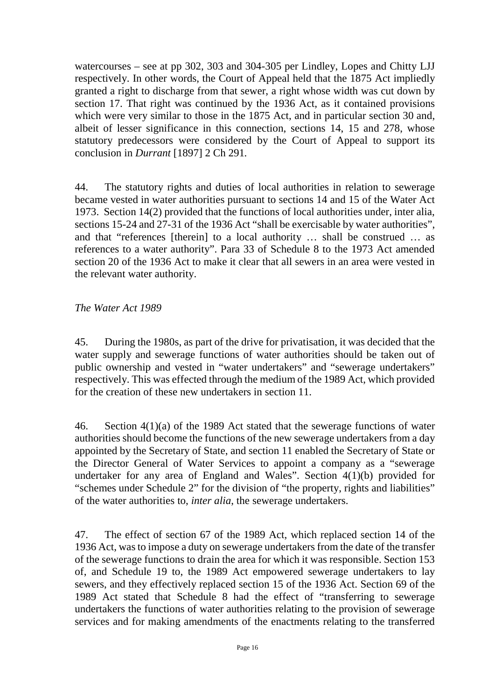watercourses – see at pp 302, 303 and 304-305 per Lindley, Lopes and Chitty LJJ respectively. In other words, the Court of Appeal held that the 1875 Act impliedly granted a right to discharge from that sewer, a right whose width was cut down by section 17. That right was continued by the 1936 Act, as it contained provisions which were very similar to those in the 1875 Act, and in particular section 30 and, albeit of lesser significance in this connection, sections 14, 15 and 278, whose statutory predecessors were considered by the Court of Appeal to support its conclusion in *Durrant* [1897] 2 Ch 291*.*

44. The statutory rights and duties of local authorities in relation to sewerage became vested in water authorities pursuant to sections 14 and 15 of the Water Act 1973. Section 14(2) provided that the functions of local authorities under, inter alia, sections 15-24 and 27-31 of the 1936 Act "shall be exercisable by water authorities", and that "references [therein] to a local authority … shall be construed … as references to a water authority". Para 33 of Schedule 8 to the 1973 Act amended section 20 of the 1936 Act to make it clear that all sewers in an area were vested in the relevant water authority.

# *The Water Act 1989*

45. During the 1980s, as part of the drive for privatisation, it was decided that the water supply and sewerage functions of water authorities should be taken out of public ownership and vested in "water undertakers" and "sewerage undertakers" respectively. This was effected through the medium of the 1989 Act, which provided for the creation of these new undertakers in section 11.

46. Section 4(1)(a) of the 1989 Act stated that the sewerage functions of water authorities should become the functions of the new sewerage undertakers from a day appointed by the Secretary of State, and section 11 enabled the Secretary of State or the Director General of Water Services to appoint a company as a "sewerage undertaker for any area of England and Wales". Section 4(1)(b) provided for "schemes under Schedule 2" for the division of "the property, rights and liabilities" of the water authorities to, *inter alia*, the sewerage undertakers.

47. The effect of section 67 of the 1989 Act, which replaced section 14 of the 1936 Act, was to impose a duty on sewerage undertakers from the date of the transfer of the sewerage functions to drain the area for which it was responsible. Section 153 of, and Schedule 19 to, the 1989 Act empowered sewerage undertakers to lay sewers, and they effectively replaced section 15 of the 1936 Act. Section 69 of the 1989 Act stated that Schedule 8 had the effect of "transferring to sewerage undertakers the functions of water authorities relating to the provision of sewerage services and for making amendments of the enactments relating to the transferred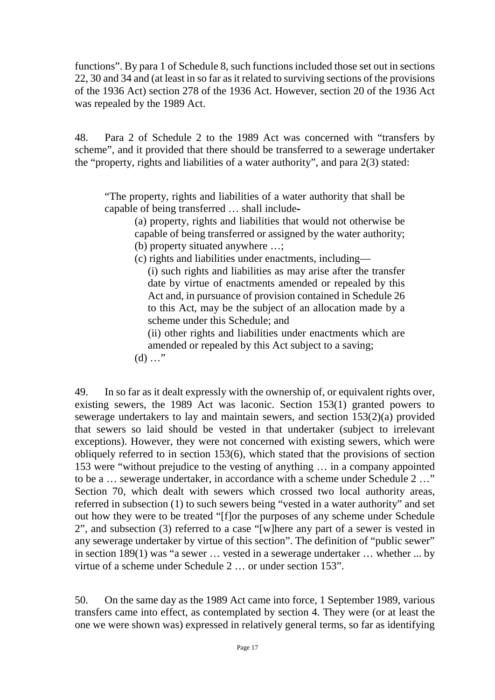functions". By para 1 of Schedule 8, such functions included those set out in sections 22, 30 and 34 and (at least in so far as it related to surviving sections of the provisions of the 1936 Act) section 278 of the 1936 Act. However, section 20 of the 1936 Act was repealed by the 1989 Act.

48. Para 2 of Schedule 2 to the 1989 Act was concerned with "transfers by scheme", and it provided that there should be transferred to a sewerage undertaker the "property, rights and liabilities of a water authority", and para 2(3) stated:

"The property, rights and liabilities of a water authority that shall be capable of being transferred … shall include-

(a) property, rights and liabilities that would not otherwise be capable of being transferred or assigned by the water authority; (b) property situated anywhere …;

(c) rights and liabilities under enactments, including—

(i) such rights and liabilities as may arise after the transfer date by virtue of enactments amended or repealed by this Act and, in pursuance of provision contained in Schedule 26 to this Act, may be the subject of an allocation made by a scheme under this Schedule; and

(ii) other rights and liabilities under enactments which are amended or repealed by this Act subject to a saving;

 $(d)$  ..."

49. In so far as it dealt expressly with the ownership of, or equivalent rights over, existing sewers, the 1989 Act was laconic. Section 153(1) granted powers to sewerage undertakers to lay and maintain sewers, and section 153(2)(a) provided that sewers so laid should be vested in that undertaker (subject to irrelevant exceptions). However, they were not concerned with existing sewers, which were obliquely referred to in section 153(6), which stated that the provisions of section 153 were "without prejudice to the vesting of anything … in a company appointed to be a … sewerage undertaker, in accordance with a scheme under Schedule 2 …" Section 70, which dealt with sewers which crossed two local authority areas, referred in subsection (1) to such sewers being "vested in a water authority" and set out how they were to be treated "[f]or the purposes of any scheme under Schedule 2", and subsection (3) referred to a case "[w]here any part of a sewer is vested in any sewerage undertaker by virtue of this section". The definition of "public sewer" in section 189(1) was "a sewer … vested in a sewerage undertaker … whether ... by virtue of a scheme under Schedule 2 … or under section 153".

50. On the same day as the 1989 Act came into force, 1 September 1989, various transfers came into effect, as contemplated by section 4. They were (or at least the one we were shown was) expressed in relatively general terms, so far as identifying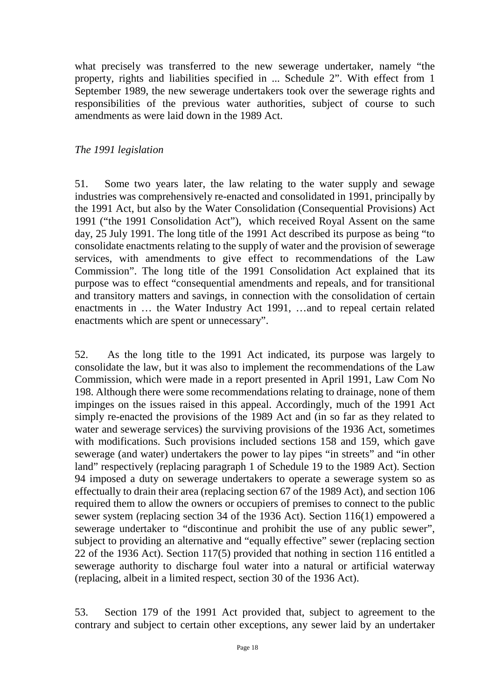what precisely was transferred to the new sewerage undertaker, namely "the property, rights and liabilities specified in ... Schedule 2". With effect from 1 September 1989, the new sewerage undertakers took over the sewerage rights and responsibilities of the previous water authorities, subject of course to such amendments as were laid down in the 1989 Act.

#### *The 1991 legislation*

51. Some two years later, the law relating to the water supply and sewage industries was comprehensively re-enacted and consolidated in 1991, principally by the 1991 Act, but also by the Water Consolidation (Consequential Provisions) Act 1991 ("the 1991 Consolidation Act"), which received Royal Assent on the same day, 25 July 1991. The long title of the 1991 Act described its purpose as being "to consolidate enactments relating to the supply of water and the provision of sewerage services, with amendments to give effect to recommendations of the Law Commission". The long title of the 1991 Consolidation Act explained that its purpose was to effect "consequential amendments and repeals, and for transitional and transitory matters and savings, in connection with the consolidation of certain enactments in … the Water Industry Act 1991, …and to repeal certain related enactments which are spent or unnecessary".

52. As the long title to the 1991 Act indicated, its purpose was largely to consolidate the law, but it was also to implement the recommendations of the Law Commission, which were made in a report presented in April 1991, Law Com No 198. Although there were some recommendations relating to drainage, none of them impinges on the issues raised in this appeal. Accordingly, much of the 1991 Act simply re-enacted the provisions of the 1989 Act and (in so far as they related to water and sewerage services) the surviving provisions of the 1936 Act, sometimes with modifications. Such provisions included sections 158 and 159, which gave sewerage (and water) undertakers the power to lay pipes "in streets" and "in other land" respectively (replacing paragraph 1 of Schedule 19 to the 1989 Act). Section 94 imposed a duty on sewerage undertakers to operate a sewerage system so as effectually to drain their area (replacing section 67 of the 1989 Act), and section 106 required them to allow the owners or occupiers of premises to connect to the public sewer system (replacing section 34 of the 1936 Act). Section 116(1) empowered a sewerage undertaker to "discontinue and prohibit the use of any public sewer", subject to providing an alternative and "equally effective" sewer (replacing section 22 of the 1936 Act). Section 117(5) provided that nothing in section 116 entitled a sewerage authority to discharge foul water into a natural or artificial waterway (replacing, albeit in a limited respect, section 30 of the 1936 Act).

53. Section 179 of the 1991 Act provided that, subject to agreement to the contrary and subject to certain other exceptions, any sewer laid by an undertaker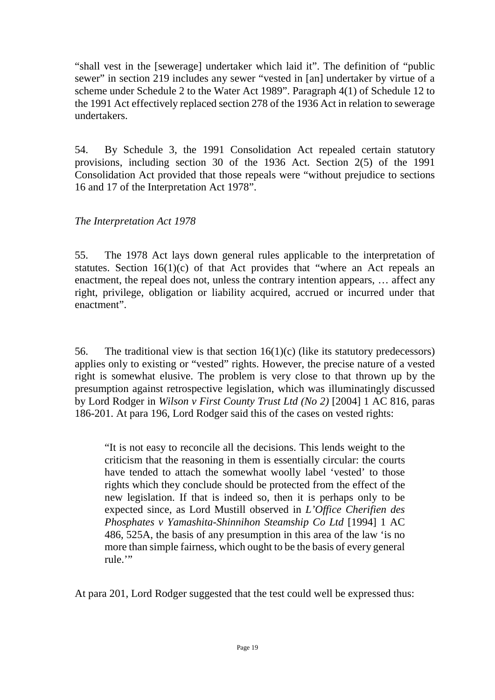"shall vest in the [sewerage] undertaker which laid it". The definition of "public sewer" in section 219 includes any sewer "vested in [an] undertaker by virtue of a scheme under Schedule 2 to the Water Act 1989". Paragraph 4(1) of Schedule 12 to the 1991 Act effectively replaced section 278 of the 1936 Act in relation to sewerage undertakers.

54. By Schedule 3, the 1991 Consolidation Act repealed certain statutory provisions, including section 30 of the 1936 Act. Section 2(5) of the 1991 Consolidation Act provided that those repeals were "without prejudice to sections 16 and 17 of the Interpretation Act 1978".

*The Interpretation Act 1978*

55. The 1978 Act lays down general rules applicable to the interpretation of statutes. Section  $16(1)(c)$  of that Act provides that "where an Act repeals an enactment, the repeal does not, unless the contrary intention appears, … affect any right, privilege, obligation or liability acquired, accrued or incurred under that enactment".

56. The traditional view is that section 16(1)(c) (like its statutory predecessors) applies only to existing or "vested" rights. However, the precise nature of a vested right is somewhat elusive. The problem is very close to that thrown up by the presumption against retrospective legislation, which was illuminatingly discussed by Lord Rodger in *Wilson v First County Trust Ltd (No 2)* [2004] 1 AC 816, paras 186-201. At para 196, Lord Rodger said this of the cases on vested rights:

"It is not easy to reconcile all the decisions. This lends weight to the criticism that the reasoning in them is essentially circular: the courts have tended to attach the somewhat woolly label 'vested' to those rights which they conclude should be protected from the effect of the new legislation. If that is indeed so, then it is perhaps only to be expected since, as Lord Mustill observed in *L'Office Cherifien des Phosphates v Yamashita-Shinnihon Steamship Co Ltd* [1994] 1 AC 486, 525A, the basis of any presumption in this area of the law 'is no more than simple fairness, which ought to be the basis of every general rule."

At para 201, Lord Rodger suggested that the test could well be expressed thus: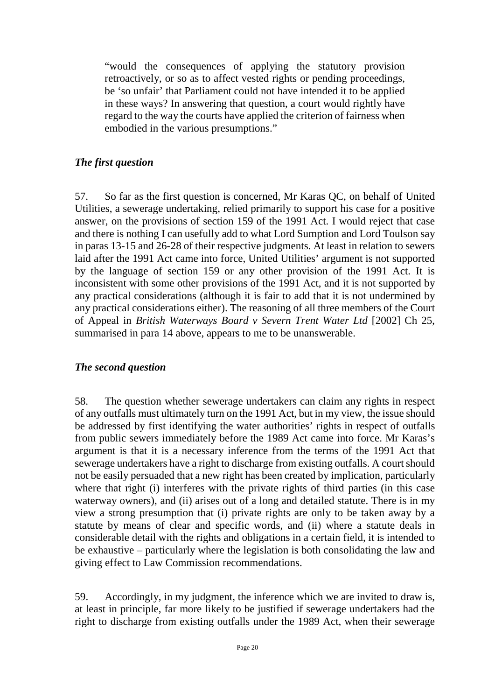"would the consequences of applying the statutory provision retroactively, or so as to affect vested rights or pending proceedings, be 'so unfair' that Parliament could not have intended it to be applied in these ways? In answering that question, a court would rightly have regard to the way the courts have applied the criterion of fairness when embodied in the various presumptions."

# *The first question*

57. So far as the first question is concerned, Mr Karas QC, on behalf of United Utilities, a sewerage undertaking, relied primarily to support his case for a positive answer, on the provisions of section 159 of the 1991 Act. I would reject that case and there is nothing I can usefully add to what Lord Sumption and Lord Toulson say in paras 13-15 and 26-28 of their respective judgments. At least in relation to sewers laid after the 1991 Act came into force, United Utilities' argument is not supported by the language of section 159 or any other provision of the 1991 Act. It is inconsistent with some other provisions of the 1991 Act, and it is not supported by any practical considerations (although it is fair to add that it is not undermined by any practical considerations either). The reasoning of all three members of the Court of Appeal in *British Waterways Board v Severn Trent Water Ltd* [2002] Ch 25, summarised in para 14 above, appears to me to be unanswerable.

# *The second question*

58. The question whether sewerage undertakers can claim any rights in respect of any outfalls must ultimately turn on the 1991 Act, but in my view, the issue should be addressed by first identifying the water authorities' rights in respect of outfalls from public sewers immediately before the 1989 Act came into force. Mr Karas's argument is that it is a necessary inference from the terms of the 1991 Act that sewerage undertakers have a right to discharge from existing outfalls. A court should not be easily persuaded that a new right has been created by implication, particularly where that right (i) interferes with the private rights of third parties (in this case waterway owners), and (ii) arises out of a long and detailed statute. There is in my view a strong presumption that (i) private rights are only to be taken away by a statute by means of clear and specific words, and (ii) where a statute deals in considerable detail with the rights and obligations in a certain field, it is intended to be exhaustive – particularly where the legislation is both consolidating the law and giving effect to Law Commission recommendations.

59. Accordingly, in my judgment, the inference which we are invited to draw is, at least in principle, far more likely to be justified if sewerage undertakers had the right to discharge from existing outfalls under the 1989 Act, when their sewerage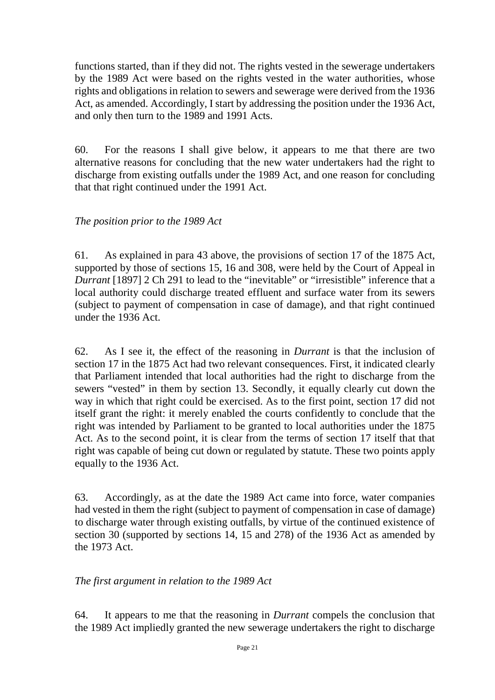functions started, than if they did not. The rights vested in the sewerage undertakers by the 1989 Act were based on the rights vested in the water authorities, whose rights and obligations in relation to sewers and sewerage were derived from the 1936 Act, as amended. Accordingly, I start by addressing the position under the 1936 Act, and only then turn to the 1989 and 1991 Acts.

60. For the reasons I shall give below, it appears to me that there are two alternative reasons for concluding that the new water undertakers had the right to discharge from existing outfalls under the 1989 Act, and one reason for concluding that that right continued under the 1991 Act.

# *The position prior to the 1989 Act*

61. As explained in para 43 above, the provisions of section 17 of the 1875 Act, supported by those of sections 15, 16 and 308, were held by the Court of Appeal in *Durrant* [1897] 2 Ch 291 to lead to the "inevitable" or "irresistible" inference that a local authority could discharge treated effluent and surface water from its sewers (subject to payment of compensation in case of damage), and that right continued under the 1936 Act.

62. As I see it, the effect of the reasoning in *Durrant* is that the inclusion of section 17 in the 1875 Act had two relevant consequences. First, it indicated clearly that Parliament intended that local authorities had the right to discharge from the sewers "vested" in them by section 13. Secondly, it equally clearly cut down the way in which that right could be exercised. As to the first point, section 17 did not itself grant the right: it merely enabled the courts confidently to conclude that the right was intended by Parliament to be granted to local authorities under the 1875 Act. As to the second point, it is clear from the terms of section 17 itself that that right was capable of being cut down or regulated by statute. These two points apply equally to the 1936 Act.

63. Accordingly, as at the date the 1989 Act came into force, water companies had vested in them the right (subject to payment of compensation in case of damage) to discharge water through existing outfalls, by virtue of the continued existence of section 30 (supported by sections 14, 15 and 278) of the 1936 Act as amended by the 1973 Act.

# *The first argument in relation to the 1989 Act*

64. It appears to me that the reasoning in *Durrant* compels the conclusion that the 1989 Act impliedly granted the new sewerage undertakers the right to discharge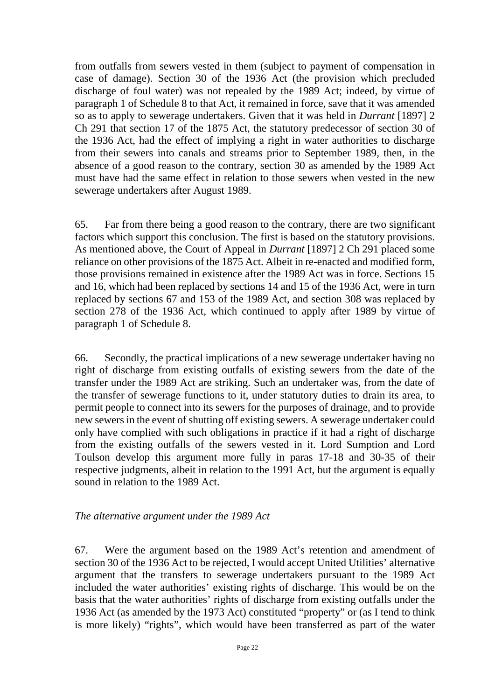from outfalls from sewers vested in them (subject to payment of compensation in case of damage). Section 30 of the 1936 Act (the provision which precluded discharge of foul water) was not repealed by the 1989 Act; indeed, by virtue of paragraph 1 of Schedule 8 to that Act, it remained in force, save that it was amended so as to apply to sewerage undertakers. Given that it was held in *Durrant* [1897] 2 Ch 291 that section 17 of the 1875 Act, the statutory predecessor of section 30 of the 1936 Act, had the effect of implying a right in water authorities to discharge from their sewers into canals and streams prior to September 1989, then, in the absence of a good reason to the contrary, section 30 as amended by the 1989 Act must have had the same effect in relation to those sewers when vested in the new sewerage undertakers after August 1989.

65. Far from there being a good reason to the contrary, there are two significant factors which support this conclusion. The first is based on the statutory provisions. As mentioned above, the Court of Appeal in *Durrant* [1897] 2 Ch 291 placed some reliance on other provisions of the 1875 Act. Albeit in re-enacted and modified form, those provisions remained in existence after the 1989 Act was in force. Sections 15 and 16, which had been replaced by sections 14 and 15 of the 1936 Act, were in turn replaced by sections 67 and 153 of the 1989 Act, and section 308 was replaced by section 278 of the 1936 Act, which continued to apply after 1989 by virtue of paragraph 1 of Schedule 8.

66. Secondly, the practical implications of a new sewerage undertaker having no right of discharge from existing outfalls of existing sewers from the date of the transfer under the 1989 Act are striking. Such an undertaker was, from the date of the transfer of sewerage functions to it, under statutory duties to drain its area, to permit people to connect into its sewers for the purposes of drainage, and to provide new sewers in the event of shutting off existing sewers. A sewerage undertaker could only have complied with such obligations in practice if it had a right of discharge from the existing outfalls of the sewers vested in it. Lord Sumption and Lord Toulson develop this argument more fully in paras 17-18 and 30-35 of their respective judgments, albeit in relation to the 1991 Act, but the argument is equally sound in relation to the 1989 Act.

#### *The alternative argument under the 1989 Act*

67. Were the argument based on the 1989 Act's retention and amendment of section 30 of the 1936 Act to be rejected, I would accept United Utilities' alternative argument that the transfers to sewerage undertakers pursuant to the 1989 Act included the water authorities' existing rights of discharge. This would be on the basis that the water authorities' rights of discharge from existing outfalls under the 1936 Act (as amended by the 1973 Act) constituted "property" or (as I tend to think is more likely) "rights", which would have been transferred as part of the water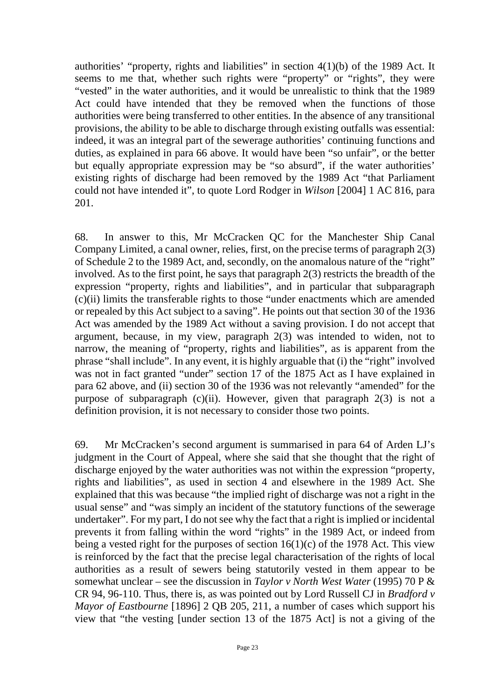authorities' "property, rights and liabilities" in section 4(1)(b) of the 1989 Act. It seems to me that, whether such rights were "property" or "rights", they were "vested" in the water authorities, and it would be unrealistic to think that the 1989 Act could have intended that they be removed when the functions of those authorities were being transferred to other entities. In the absence of any transitional provisions, the ability to be able to discharge through existing outfalls was essential: indeed, it was an integral part of the sewerage authorities' continuing functions and duties, as explained in para 66 above. It would have been "so unfair", or the better but equally appropriate expression may be "so absurd", if the water authorities' existing rights of discharge had been removed by the 1989 Act "that Parliament could not have intended it", to quote Lord Rodger in *Wilson* [2004] 1 AC 816, para 201.

68. In answer to this, Mr McCracken QC for the Manchester Ship Canal Company Limited, a canal owner, relies, first, on the precise terms of paragraph 2(3) of Schedule 2 to the 1989 Act, and, secondly, on the anomalous nature of the "right" involved. As to the first point, he says that paragraph 2(3) restricts the breadth of the expression "property, rights and liabilities", and in particular that subparagraph (c)(ii) limits the transferable rights to those "under enactments which are amended or repealed by this Act subject to a saving". He points out that section 30 of the 1936 Act was amended by the 1989 Act without a saving provision. I do not accept that argument, because, in my view, paragraph 2(3) was intended to widen, not to narrow, the meaning of "property, rights and liabilities", as is apparent from the phrase "shall include". In any event, it is highly arguable that (i) the "right" involved was not in fact granted "under" section 17 of the 1875 Act as I have explained in para 62 above, and (ii) section 30 of the 1936 was not relevantly "amended" for the purpose of subparagraph (c)(ii). However, given that paragraph 2(3) is not a definition provision, it is not necessary to consider those two points.

69. Mr McCracken's second argument is summarised in para 64 of Arden LJ's judgment in the Court of Appeal, where she said that she thought that the right of discharge enjoyed by the water authorities was not within the expression "property, rights and liabilities", as used in section 4 and elsewhere in the 1989 Act. She explained that this was because "the implied right of discharge was not a right in the usual sense" and "was simply an incident of the statutory functions of the sewerage undertaker". For my part, I do not see why the fact that a right is implied or incidental prevents it from falling within the word "rights" in the 1989 Act, or indeed from being a vested right for the purposes of section  $16(1)(c)$  of the 1978 Act. This view is reinforced by the fact that the precise legal characterisation of the rights of local authorities as a result of sewers being statutorily vested in them appear to be somewhat unclear – see the discussion in *Taylor v North West Water* (1995) 70 P & CR 94, 96-110. Thus, there is, as was pointed out by Lord Russell CJ in *Bradford v Mayor of Eastbourne* [1896] 2 QB 205, 211, a number of cases which support his view that "the vesting [under section 13 of the 1875 Act] is not a giving of the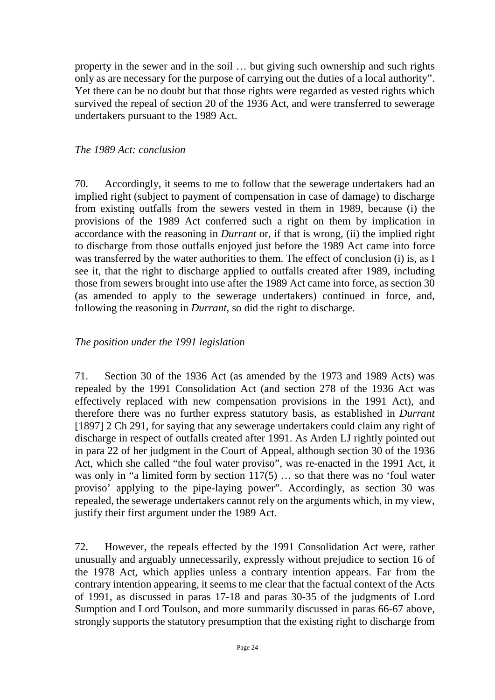property in the sewer and in the soil … but giving such ownership and such rights only as are necessary for the purpose of carrying out the duties of a local authority". Yet there can be no doubt but that those rights were regarded as vested rights which survived the repeal of section 20 of the 1936 Act, and were transferred to sewerage undertakers pursuant to the 1989 Act.

### *The 1989 Act: conclusion*

70. Accordingly, it seems to me to follow that the sewerage undertakers had an implied right (subject to payment of compensation in case of damage) to discharge from existing outfalls from the sewers vested in them in 1989, because (i) the provisions of the 1989 Act conferred such a right on them by implication in accordance with the reasoning in *Durrant* or, if that is wrong, (ii) the implied right to discharge from those outfalls enjoyed just before the 1989 Act came into force was transferred by the water authorities to them. The effect of conclusion (i) is, as I see it, that the right to discharge applied to outfalls created after 1989, including those from sewers brought into use after the 1989 Act came into force, as section 30 (as amended to apply to the sewerage undertakers) continued in force, and, following the reasoning in *Durrant*, so did the right to discharge.

# *The position under the 1991 legislation*

71. Section 30 of the 1936 Act (as amended by the 1973 and 1989 Acts) was repealed by the 1991 Consolidation Act (and section 278 of the 1936 Act was effectively replaced with new compensation provisions in the 1991 Act), and therefore there was no further express statutory basis, as established in *Durrant*  [1897] 2 Ch 291, for saying that any sewerage undertakers could claim any right of discharge in respect of outfalls created after 1991. As Arden LJ rightly pointed out in para 22 of her judgment in the Court of Appeal, although section 30 of the 1936 Act, which she called "the foul water proviso", was re-enacted in the 1991 Act, it was only in "a limited form by section  $117(5)$  ... so that there was no 'foul water proviso' applying to the pipe-laying power". Accordingly, as section 30 was repealed, the sewerage undertakers cannot rely on the arguments which, in my view, justify their first argument under the 1989 Act.

72. However, the repeals effected by the 1991 Consolidation Act were, rather unusually and arguably unnecessarily, expressly without prejudice to section 16 of the 1978 Act, which applies unless a contrary intention appears. Far from the contrary intention appearing, it seems to me clear that the factual context of the Acts of 1991, as discussed in paras 17-18 and paras 30-35 of the judgments of Lord Sumption and Lord Toulson, and more summarily discussed in paras 66-67 above, strongly supports the statutory presumption that the existing right to discharge from